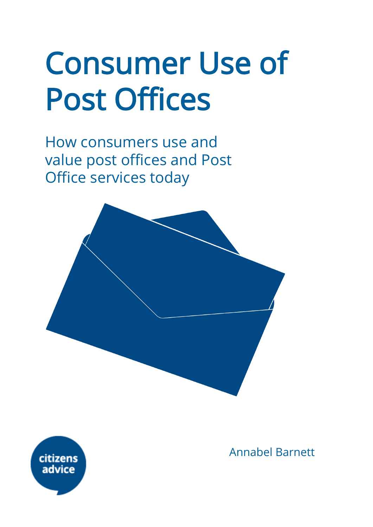# Consumer Use of Post Offices

How consumers use and value post offices and Post Office services today





Annabel Barnett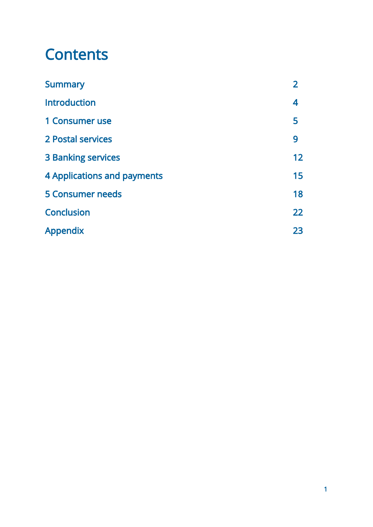# **Contents**

| <b>Summary</b>                     | $\mathbf{2}$ |
|------------------------------------|--------------|
| <b>Introduction</b>                | 4            |
| 1 Consumer use                     | 5            |
| 2 Postal services                  | 9            |
| <b>3 Banking services</b>          | 12           |
| <b>4 Applications and payments</b> | 15           |
| <b>5 Consumer needs</b>            | 18           |
| <b>Conclusion</b>                  | 22           |
| <b>Appendix</b>                    | 23           |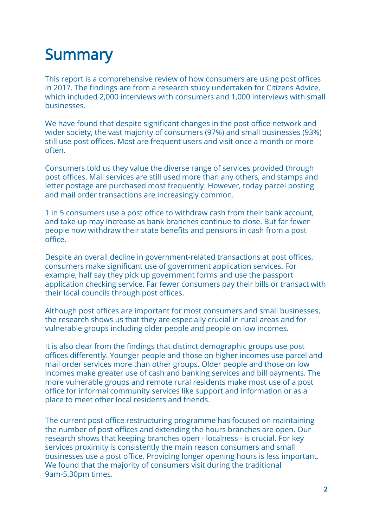# **Summary**

This report is a comprehensive review of how consumers are using post offices in 2017. The findings are from a research study undertaken for Citizens Advice, which included 2,000 interviews with consumers and 1,000 interviews with small businesses.

We have found that despite significant changes in the post office network and wider society, the vast majority of consumers (97%) and small businesses (93%) still use post offices. Most are frequent users and visit once a month or more often.

Consumers told us they value the diverse range of services provided through post offices. Mail services are still used more than any others, and stamps and letter postage are purchased most frequently. However, today parcel posting and mail order transactions are increasingly common.

1 in 5 consumers use a post office to withdraw cash from their bank account, and take-up may increase as bank branches continue to close. But far fewer people now withdraw their state benefits and pensions in cash from a post office.

Despite an overall decline in government-related transactions at post offices, consumers make significant use of government application services. For example, half say they pick up government forms and use the passport application checking service. Far fewer consumers pay their bills or transact with their local councils through post offices.

Although post offices are important for most consumers and small businesses, the research shows us that they are especially crucial in rural areas and for vulnerable groups including older people and people on low incomes.

It is also clear from the findings that distinct demographic groups use post offices differently. Younger people and those on higher incomes use parcel and mail order services more than other groups. Older people and those on low incomes make greater use of cash and banking services and bill payments. The more vulnerable groups and remote rural residents make most use of a post office for informal community services like support and information or as a place to meet other local residents and friends.

The current post office restructuring programme has focused on maintaining the number of post offices and extending the hours branches are open. Our research shows that keeping branches open - localness - is crucial. For key services proximity is consistently the main reason consumers and small businesses use a post office. Providing longer opening hours is less important. We found that the majority of consumers visit during the traditional 9am-5.30pm times.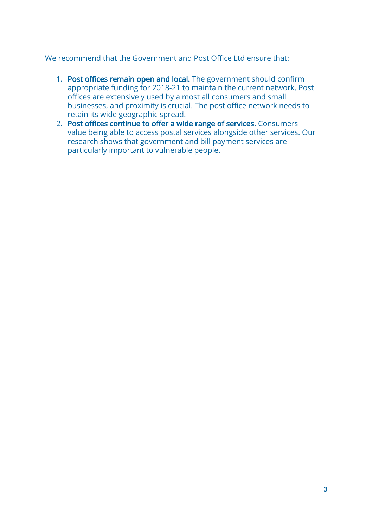#### We recommend that the Government and Post Office Ltd ensure that:

- 1. Post offices remain open and local. The government should confirm appropriate funding for 2018-21 to maintain the current network. Post offices are extensively used by almost all consumers and small businesses, and proximity is crucial. The post office network needs to retain its wide geographic spread.
- 2. Post offices continue to offer a wide range of services. Consumers value being able to access postal services alongside other services. Our research shows that government and bill payment services are particularly important to vulnerable people.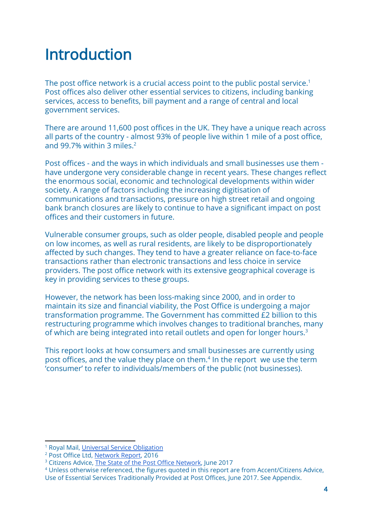# Introduction

The post office network is a crucial access point to the public postal service.<sup>1</sup> Post offices also deliver other essential services to citizens, including banking services, access to benefits, bill payment and a range of central and local government services.

There are around 11,600 post offices in the UK. They have a unique reach across all parts of the country - almost 93% of people live within 1 mile of a post office, and 99.7% within 3 miles.<sup>2</sup>

Post offices - and the ways in which individuals and small businesses use them have undergone very considerable change in recent years. These changes reflect the enormous social, economic and technological developments within wider society. A range of factors including the increasing digitisation of communications and transactions, pressure on high street retail and ongoing bank branch closures are likely to continue to have a significant impact on post offices and their customers in future.

Vulnerable consumer groups, such as older people, disabled people and people on low incomes, as well as rural residents, are likely to be disproportionately affected by such changes. They tend to have a greater reliance on face-to-face transactions rather than electronic transactions and less choice in service providers. The post office network with its extensive geographical coverage is key in providing services to these groups.

However, the network has been loss-making since 2000, and in order to maintain its size and financial viability, the Post Office is undergoing a major transformation programme. The Government has committed £2 billion to this restructuring programme which involves changes to traditional branches, many of which are being integrated into retail outlets and open for longer hours.<sup>3</sup>

This report looks at how consumers and small businesses are currently using post offices, and the value they place on them.<sup>4</sup> In the report we use the term 'consumer' to refer to individuals/members of the public (not businesses).

<sup>&</sup>lt;sup>1</sup> Royal Mail, Universal Service [Obligation](http://www.royalmailgroup.com/about-us/regulation/how-were-regulated/universal-service-obligation)

<sup>2</sup> Post Office Ltd, [Network](http://corporate.postoffice.co.uk/sites/default/files/networkreport2016.pdf) Report, 2016

<sup>&</sup>lt;sup>3</sup> Citizens Advice, The State of the Post Office [Network](https://www.citizensadvice.org.uk/Global/CitizensAdvice/Post%20and%20Telecoms/The%20state%20of%20the%20post%20office%20network.pdf), June 2017

<sup>4</sup> Unless otherwise referenced, the figures quoted in this report are from Accent/Citizens Advice, Use of Essential Services Traditionally Provided at Post Offices, June 2017. See Appendix.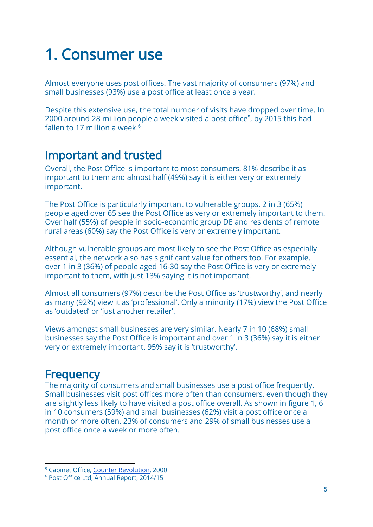# 1. Consumer use

Almost everyone uses post offices. The vast majority of consumers (97%) and small businesses (93%) use a post office at least once a year.

Despite this extensive use, the total number of visits have dropped over time. In 2000 around 28 million people a week visited a post office<sup>5</sup>, by 2015 this had fallen to 17 million a week. $6$ 

### Important and trusted

Overall, the Post Office is important to most consumers. 81% describe it as important to them and almost half (49%) say it is either very or extremely important.

The Post Office is particularly important to vulnerable groups. 2 in 3 (65%) people aged over 65 see the Post Office as very or extremely important to them. Over half (55%) of people in socio-economic group DE and residents of remote rural areas (60%) say the Post Office is very or extremely important.

Although vulnerable groups are most likely to see the Post Office as especially essential, the network also has significant value for others too. For example, over 1 in 3 (36%) of people aged 16-30 say the Post Office is very or extremely important to them, with just 13% saying it is not important.

Almost all consumers (97%) describe the Post Office as 'trustworthy', and nearly as many (92%) view it as 'professional'. Only a minority (17%) view the Post Office as 'outdated' or 'just another retailer'.

Views amongst small businesses are very similar. Nearly 7 in 10 (68%) small businesses say the Post Office is important and over 1 in 3 (36%) say it is either very or extremely important. 95% say it is 'trustworthy'.

# **Frequency**

The majority of consumers and small businesses use a post office frequently. Small businesses visit post offices more often than consumers, even though they are slightly less likely to have visited a post office overall. As shown in figure 1, 6 in 10 consumers (59%) and small businesses (62%) visit a post office once a month or more often. 23% of consumers and 29% of small businesses use a post office once a week or more often.

<sup>5</sup> Cabinet Office, Counter [Revolution](http://webarchive.nationalarchives.gov.uk/20100125070726/http://cabinetoffice.gov.uk/strategy/work_areas/post_office_network.aspx), 2000

<sup>6</sup> Post [Office](http://corporate.postoffice.co.uk/sites/default/files/Annual%20Report_201415.pdf) Ltd, [Annual](http://corporate.postoffice.co.uk/sites/default/files/Annual%20Report_201415.pdf) Report, [2014/15](http://corporate.postoffice.co.uk/sites/default/files/Annual%20Report_201415.pdf)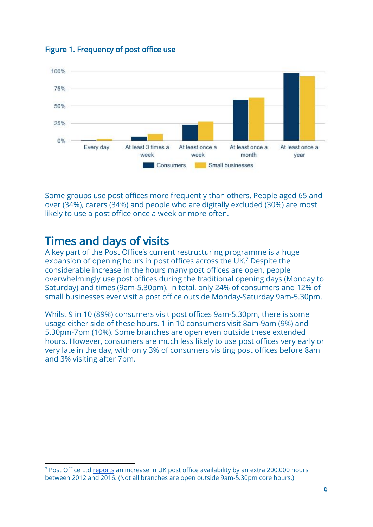#### Figure 1. Frequency of post office use



Some groups use post offices more frequently than others. People aged 65 and over (34%), carers (34%) and people who are digitally excluded (30%) are most likely to use a post office once a week or more often.

### Times and days of visits

A key part of the Post Office's current restructuring programme is a huge expansion of opening hours in post offices across the UK.<sup>7</sup> Despite the considerable increase in the hours many post offices are open, people overwhelmingly use post offices during the traditional opening days (Monday to Saturday) and times (9am-5.30pm). In total, only 24% of consumers and 12% of small businesses ever visit a post office outside Monday-Saturday 9am-5.30pm.

Whilst 9 in 10 (89%) consumers visit post offices 9am-5.30pm, there is some usage either side of these hours. 1 in 10 consumers visit 8am-9am (9%) and 5.30pm-7pm (10%). Some branches are open even outside these extended hours. However, consumers are much less likely to use post offices very early or very late in the day, with only 3% of consumers visiting post offices before 8am and 3% visiting after 7pm.

<sup>7</sup> Post Office Ltd [reports](https://www.onepostoffice.co.uk/secure/latest-news/our-branches/extra-post-office-opening-hours-equivalent-to-5-000-new-branches/) an increase in UK post office availability by an extra 200,000 hours between 2012 and 2016. (Not all branches are open outside 9am-5.30pm core hours.)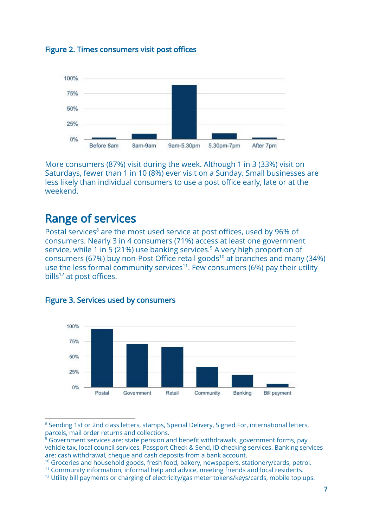



More consumers (87%) visit during the week. Although 1 in 3 (33%) visit on Saturdays, fewer than 1 in 10 (8%) ever visit on a Sunday. Small businesses are less likely than individual consumers to use a post office early, late or at the weekend.

# Range of services

Postal services<sup>8</sup> are the most used service at post offices, used by 96% of consumers. Nearly 3 in 4 consumers (71%) access at least one government service, while 1 in 5 (21%) use banking services.<sup>9</sup> A very high proportion of consumers (67%) buy non-Post Office retail goods<sup>10</sup> at branches and many (34%) use the less formal community services<sup>11</sup>. Few consumers (6%) pay their utility bills $12$  at post offices.



#### Figure 3. Services used by consumers

<sup>&</sup>lt;sup>8</sup> Sending 1st or 2nd class letters, stamps, Special Delivery, Signed For, international letters, parcels, mail order returns and collections.

 $\frac{1}{9}$  Government services are: state pension and benefit withdrawals, government forms, pay vehicle tax, local council services, Passport Check & Send, ID checking services. Banking services are: cash withdrawal, cheque and cash deposits from a bank account.

 $10$  Groceries and household goods, fresh food, bakery, newspapers, stationery/cards, petrol.

<sup>11</sup> Community information, informal help and advice, meeting friends and local residents.

 $12$  Utility bill payments or charging of electricity/gas meter tokens/keys/cards, mobile top ups.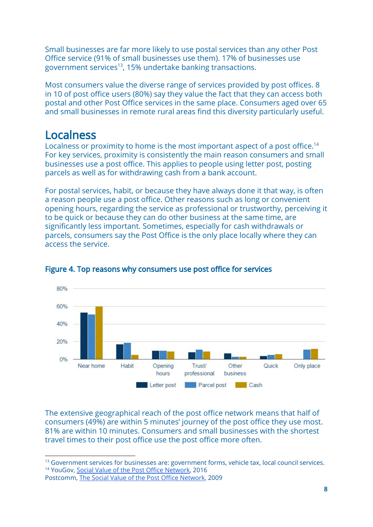Small businesses are far more likely to use postal services than any other Post Office service (91% of small businesses use them). 17% of businesses use government services<sup>13</sup>, 15% undertake banking transactions.

Most consumers value the diverse range of services provided by post offices. 8 in 10 of post office users (80%) say they value the fact that they can access both postal and other Post Office services in the same place. Consumers aged over 65 and small businesses in remote rural areas find this diversity particularly useful.

## Localness

Localness or proximity to home is the most important aspect of a post office.<sup>14</sup> For key services, proximity is consistently the main reason consumers and small businesses use a post office. This applies to people using letter post, posting parcels as well as for withdrawing cash from a bank account.

For postal services, habit, or because they have always done it that way, is often a reason people use a post office. Other reasons such as long or convenient opening hours, regarding the service as professional or trustworthy, perceiving it to be quick or because they can do other business at the same time, are significantly less important. Sometimes, especially for cash withdrawals or parcels, consumers say the Post Office is the only place locally where they can access the service.



#### Figure 4. Top reasons why consumers use post office for services

The extensive geographical reach of the post office network means that half of consumers (49%) are within 5 minutes' journey of the post office they use most. 81% are within 10 minutes. Consumers and small businesses with the shortest travel times to their post office use the post office more often.

Postcomm, The Social Value of the Post Office [Network,](http://www.nera.com/content/dam/nera/publications/archive1/PUB_Postcomm_Aug2009.pdf) 2009

<sup>&</sup>lt;sup>13</sup> Government services for businesses are: government forms, vehicle tax, local council services. <sup>14</sup> YouGov, Social Value of the Post Office [Network,](https://www.gov.uk/government/publications/post-office-network-social-value) 2016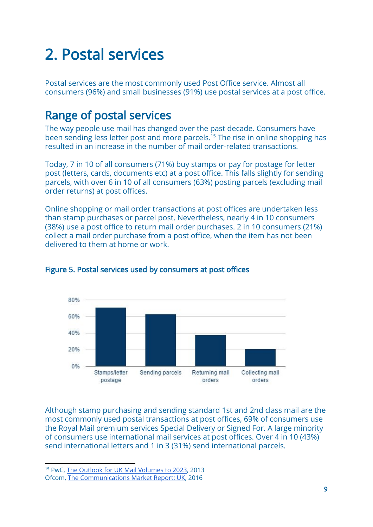# 2. Postal services

Postal services are the most commonly used Post Office service. Almost all consumers (96%) and small businesses (91%) use postal services at a post office.

# Range of postal services

The way people use mail has changed over the past decade. Consumers have been sending less letter post and more parcels.<sup>15</sup> The rise in online shopping has resulted in an increase in the number of mail order-related transactions.

Today, 7 in 10 of all consumers (71%) buy stamps or pay for postage for letter post (letters, cards, documents etc) at a post office. This falls slightly for sending parcels, with over 6 in 10 of all consumers (63%) posting parcels (excluding mail order returns) at post offices.

Online shopping or mail order transactions at post offices are undertaken less than stamp purchases or parcel post. Nevertheless, nearly 4 in 10 consumers (38%) use a post office to return mail order purchases. 2 in 10 consumers (21%) collect a mail order purchase from a post office, when the item has not been delivered to them at home or work.



#### Figure 5. Postal services used by consumers at post offices

Although stamp purchasing and sending standard 1st and 2nd class mail are the most commonly used postal transactions at post offices, 69% of consumers use the Royal Mail premium services Special Delivery or Signed For. A large minority of consumers use international mail services at post offices. Over 4 in 10 (43%) send international letters and 1 in 3 (31%) send international parcels.

<sup>&</sup>lt;sup>15</sup> PwC, The Outlook for UK Mail [Volumes](http://www.royalmailgroup.com/sites/default/files/The%20outlook%20for%20UK%20mail%20volumes%20to%202023.pdf) to 2023, 2013

Ofcom, The [Communications](https://www.ofcom.org.uk/research-and-data/cmr/cmr16/the-communications-market-report-uk) Market Report: UK, 2016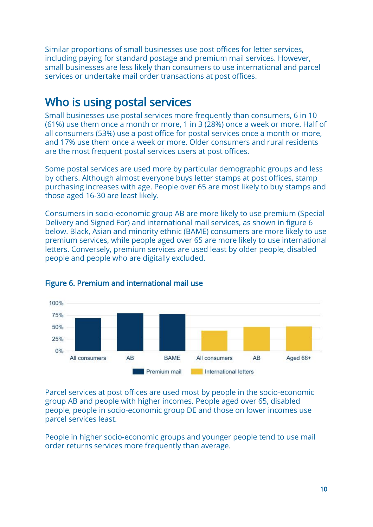Similar proportions of small businesses use post offices for letter services, including paying for standard postage and premium mail services. However, small businesses are less likely than consumers to use international and parcel services or undertake mail order transactions at post offices.

### Who is using postal services

Small businesses use postal services more frequently than consumers, 6 in 10 (61%) use them once a month or more, 1 in 3 (28%) once a week or more. Half of all consumers (53%) use a post office for postal services once a month or more, and 17% use them once a week or more. Older consumers and rural residents are the most frequent postal services users at post offices.

Some postal services are used more by particular demographic groups and less by others. Although almost everyone buys letter stamps at post offices, stamp purchasing increases with age. People over 65 are most likely to buy stamps and those aged 16-30 are least likely.

Consumers in socio-economic group AB are more likely to use premium (Special Delivery and Signed For) and international mail services, as shown in figure 6 below. Black, Asian and minority ethnic (BAME) consumers are more likely to use premium services, while people aged over 65 are more likely to use international letters. Conversely, premium services are used least by older people, disabled people and people who are digitally excluded.



#### Figure 6. Premium and international mail use

Parcel services at post offices are used most by people in the socio-economic group AB and people with higher incomes. People aged over 65, disabled people, people in socio-economic group DE and those on lower incomes use parcel services least.

People in higher socio-economic groups and younger people tend to use mail order returns services more frequently than average.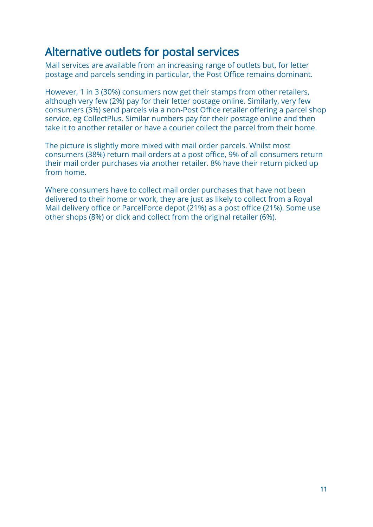### Alternative outlets for postal services

Mail services are available from an increasing range of outlets but, for letter postage and parcels sending in particular, the Post Office remains dominant.

However, 1 in 3 (30%) consumers now get their stamps from other retailers, although very few (2%) pay for their letter postage online. Similarly, very few consumers (3%) send parcels via a non-Post Office retailer offering a parcel shop service, eg CollectPlus. Similar numbers pay for their postage online and then take it to another retailer or have a courier collect the parcel from their home.

The picture is slightly more mixed with mail order parcels. Whilst most consumers (38%) return mail orders at a post office, 9% of all consumers return their mail order purchases via another retailer. 8% have their return picked up from home.

Where consumers have to collect mail order purchases that have not been delivered to their home or work, they are just as likely to collect from a Royal Mail delivery office or ParcelForce depot (21%) as a post office (21%). Some use other shops (8%) or click and collect from the original retailer (6%).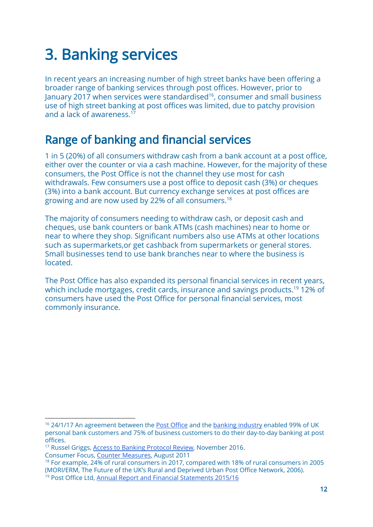# 3. Banking services

In recent years an increasing number of high street banks have been offering a broader range of banking services through post offices. However, prior to January 2017 when services were standardised<sup>16</sup>, consumer and small business use of high street banking at post offices was limited, due to patchy provision and a lack of awareness.<sup>17</sup>

# Range of banking and financial services

1 in 5 (20%) of all consumers withdraw cash from a bank account at a post office, either over the counter or via a cash machine. However, for the majority of these consumers, the Post Office is not the channel they use most for cash withdrawals. Few consumers use a post office to deposit cash (3%) or cheques (3%) into a bank account. But currency exchange services at post offices are growing and are now used by 22% of all consumers.<sup>18</sup>

The majority of consumers needing to withdraw cash, or deposit cash and cheques, use bank counters or bank ATMs (cash machines) near to home or near to where they shop. Significant numbers also use ATMs at other locations such as supermarkets,or get cashback from supermarkets or general stores. Small businesses tend to use bank branches near to where the business is located.

The Post Office has also expanded its personal financial services in recent years, which include mortgages, credit cards, insurance and savings products.<sup>19</sup> 12% of consumers have used the Post Office for personal financial services, most commonly insurance.

<sup>17</sup> Russel Griggs, Access to Banking [Protocol](https://www.bba.org.uk/news/reports/access-to-banking-protocol/#.WTWAWOsrJaR) Review, November 2016. Consumer Focus, Counter [Measures,](http://webarchive.nationalarchives.gov.uk/20111014085622/http://www.consumerfocus.org.uk/publications/counter-measures-delivering-access-to-current-accounts-for-all-at-the-post-office) August 2011

<sup>&</sup>lt;sup>16</sup> 24/1/17 An agreement between the Post [Office](http://corporate.postoffice.co.uk/our-media-centre#/pressreleases/post-office-and-uk-banks-partnership-secure-access-to-local-banking-services-1761968) and the banking [industry](https://www.bba.org.uk/news/press-releases/bba-welcomes-post-office-and-uk-banks-partnership-to-provide-secure-access-to-local-banking-services/#.WR8RLesrJaQ) enabled 99% of UK personal bank customers and 75% of business customers to do their day-to-day banking at post offices.

<sup>18</sup> For example, 24% of rural consumers in 2017, compared with 18% of rural consumers in 2005 (MORI/ERM, The Future of the UK's Rural and Deprived Urban Post Office Network, 2006). <sup>19</sup> Post Office Ltd, Annual Report and Financial [Statements](http://corporate.postoffice.co.uk/sites/default/files/AnnualReport1516.pdf) 2015/16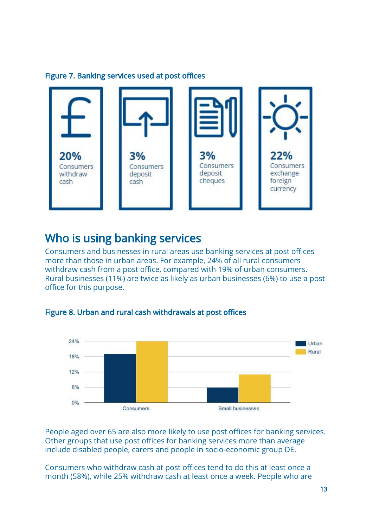#### Figure 7. Banking services used at post offices



## Who is using banking services

Consumers and businesses in rural areas use banking services at post offices more than those in urban areas. For example, 24% of all rural consumers withdraw cash from a post office, compared with 19% of urban consumers. Rural businesses (11%) are twice as likely as urban businesses (6%) to use a post office for this purpose.



#### Figure 8. Urban and rural cash withdrawals at post offices

People aged over 65 are also more likely to use post offices for banking services. Other groups that use post offices for banking services more than average include disabled people, carers and people in socio-economic group DE.

Consumers who withdraw cash at post offices tend to do this at least once a month (58%), while 25% withdraw cash at least once a week. People who are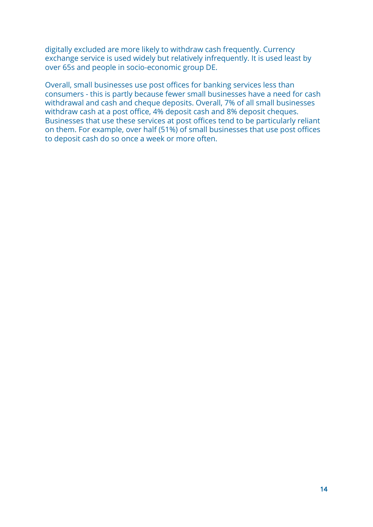digitally excluded are more likely to withdraw cash frequently. Currency exchange service is used widely but relatively infrequently. It is used least by over 65s and people in socio-economic group DE.

Overall, small businesses use post offices for banking services less than consumers - this is partly because fewer small businesses have a need for cash withdrawal and cash and cheque deposits. Overall, 7% of all small businesses withdraw cash at a post office, 4% deposit cash and 8% deposit cheques. Businesses that use these services at post offices tend to be particularly reliant on them. For example, over half (51%) of small businesses that use post offices to deposit cash do so once a week or more often.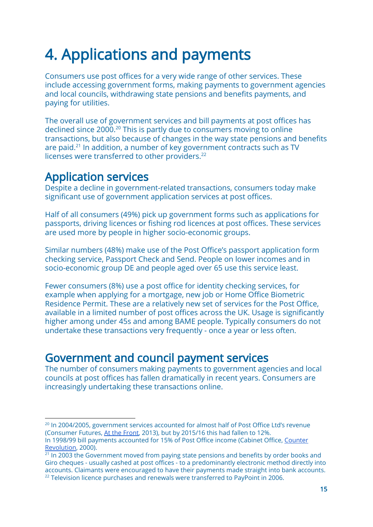# 4. Applications and payments

Consumers use post offices for a very wide range of other services. These include accessing government forms, making payments to government agencies and local councils, withdrawing state pensions and benefits payments, and paying for utilities.

The overall use of government services and bill payments at post offices has declined since 2000.<sup>20</sup> This is partly due to consumers moving to online transactions, but also because of changes in the way state pensions and benefits are paid. $21$  In addition, a number of key government contracts such as TV licenses were transferred to other providers.<sup>22</sup>

### Application services

Despite a decline in government-related transactions, consumers today make significant use of government application services at post offices.

Half of all consumers (49%) pick up government forms such as applications for passports, driving licences or fishing rod licences at post offices. These services are used more by people in higher socio-economic groups.

Similar numbers (48%) make use of the Post Office's passport application form checking service, Passport Check and Send. People on lower incomes and in socio-economic group DE and people aged over 65 use this service least.

Fewer consumers (8%) use a post office for identity checking services, for example when applying for a mortgage, new job or Home Office Biometric Residence Permit. These are a relatively new set of services for the Post Office, available in a limited number of post offices across the UK. Usage is significantly higher among under 45s and among BAME people. Typically consumers do not undertake these transactions very frequently - once a year or less often.

### Government and council payment services

The number of consumers making payments to government agencies and local councils at post offices has fallen dramatically in recent years. Consumers are increasingly undertaking these transactions online.

<sup>&</sup>lt;sup>20</sup> In 2004/2005, government services accounted for almost half of Post Office Ltd's revenue (Consumer Futures, At the [Front,](http://webarchive.nationalarchives.gov.uk/20140320153439/http://www.consumerfutures.org.uk/reports/at-the-front-using-the-post-office-as-a-front-office-for-government) 2013), but by 2015/16 this had fallen to 12%. In 1998/99 bill payments accounted for 15% of Post Office income (Cabinet Office, [Counter](http://webarchive.nationalarchives.gov.uk/20100125070726/http://cabinetoffice.gov.uk/strategy/work_areas/post_office_network.aspx) [Revolution,](http://webarchive.nationalarchives.gov.uk/20100125070726/http://cabinetoffice.gov.uk/strategy/work_areas/post_office_network.aspx) 2000).

<sup>&</sup>lt;sup>21</sup> In 2003 the Government moved from paying state pensions and benefits by order books and Giro cheques - usually cashed at post offices - to a predominantly electronic method directly into accounts. Claimants were encouraged to have their payments made straight into bank accounts.  $22$  Television licence purchases and renewals were transferred to PayPoint in 2006.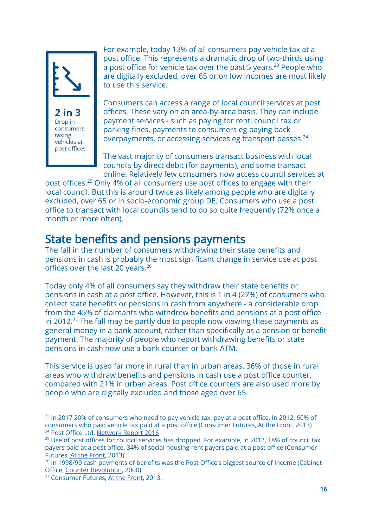

2 in 3 Drop in consumers taxing vehicles at post offices

For example, today 13% of all consumers pay vehicle tax at a post office. This represents a dramatic drop of two-thirds using a post office for vehicle tax over the past 5 years.<sup>23</sup> People who are digitally excluded, over 65 or on low incomes are most likely to use this service.

Consumers can access a range of local council services at post offices. These vary on an area-by-area basis. They can include payment services - such as paying for rent, council tax or parking fines, payments to consumers eg paying back overpayments, or accessing services eg transport passes.<sup>24</sup>

The vast majority of consumers transact business with local councils by direct debit (for payments), and some transact online. Relatively few consumers now access council services at

post offices.<sup>25</sup> Only 4% of all consumers use post offices to engage with their local council. But this is around twice as likely among people who are digitally excluded, over 65 or in socio-economic group DE. Consumers who use a post office to transact with local councils tend to do so quite frequently (72% once a month or more often).

### State benefits and pensions payments

The fall in the number of consumers withdrawing their state benefits and pensions in cash is probably the most significant change in service use at post offices over the last 20 years.<sup>26</sup>

Today only 4% of all consumers say they withdraw their state benefits or pensions in cash at a post office. However, this is 1 in 4 (27%) of consumers who collect state benefits or pensions in cash from anywhere - a considerable drop from the 45% of claimants who withdrew benefits and pensions at a post office in 2012. $^{27}$  The fall may be partly due to people now viewing these payments as general money in a bank account, rather than specifically as a pension or benefit payment. The majority of people who report withdrawing benefits or state pensions in cash now use a bank counter or bank ATM.

This service is used far more in rural than in urban areas. 36% of those in rural areas who withdraw benefits and pensions in cash use a post office counter, compared with 21% in urban areas. Post office counters are also used more by people who are digitally excluded and those aged over 65.

 $^{23}$  In 2017 20% of consumers who need to pay vehicle tax, pay at a post office. In 2012, 60% of consumers who paid vehicle tax paid at a post office (Consumer Futures, At the [Front,](http://webarchive.nationalarchives.gov.uk/20140320153439/http://www.consumerfutures.org.uk/reports/at-the-front-using-the-post-office-as-a-front-office-for-government) 2013) <sup>24</sup> Post Office Ltd, [Network](http://corporate.postoffice.co.uk/sites/default/files/networkreport2016.pdf) Report 2016

<sup>&</sup>lt;sup>25</sup> Use of post offices for council services has dropped. For example, in 2012, 18% of council tax payers paid at a post office, 34% of social housing rent payers paid at a post office (Consumer Futures, At the [Front,](http://webarchive.nationalarchives.gov.uk/20140320153439/http://www.consumerfutures.org.uk/reports/at-the-front-using-the-post-office-as-a-front-office-for-government) 2013)

 $26$  In 1998/99 cash payments of benefits was the Post Office's biggest source of income (Cabinet Office, Counter [Revolution,](http://webarchive.nationalarchives.gov.uk/20100125070726/http://cabinetoffice.gov.uk/strategy/work_areas/post_office_network.aspx) 2000).

<sup>&</sup>lt;sup>27</sup> Consumer Futures, At the [Front,](http://webarchive.nationalarchives.gov.uk/20140320153439/http://www.consumerfutures.org.uk/reports/at-the-front-using-the-post-office-as-a-front-office-for-government) 2013.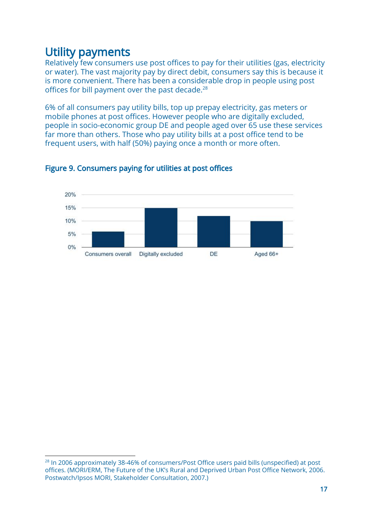## Utility payments

Relatively few consumers use post offices to pay for their utilities (gas, electricity or water). The vast majority pay by direct debit, consumers say this is because it is more convenient. There has been a considerable drop in people using post offices for bill payment over the past decade.<sup>28</sup>

6% of all consumers pay utility bills, top up prepay electricity, gas meters or mobile phones at post offices. However people who are digitally excluded, people in socio-economic group DE and people aged over 65 use these services far more than others. Those who pay utility bills at a post office tend to be frequent users, with half (50%) paying once a month or more often.



#### Figure 9. Consumers paying for utilities at post offices

<sup>&</sup>lt;sup>28</sup> In 2006 approximately 38-46% of consumers/Post Office users paid bills (unspecified) at post offices. (MORI/ERM, The Future of the UK's Rural and Deprived Urban Post Office Network, 2006. Postwatch/Ipsos MORI, Stakeholder Consultation, 2007.)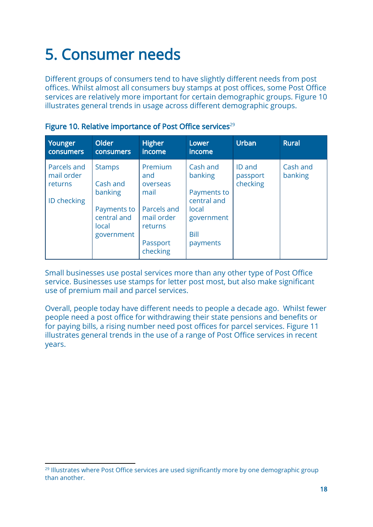# 5. Consumer needs

Different groups of consumers tend to have slightly different needs from post offices. Whilst almost all consumers buy stamps at post offices, some Post Office services are relatively more important for certain demographic groups. Figure 10 illustrates general trends in usage across different demographic groups.

| Younger<br><b>consumers</b>                         | Older<br><b>consumers</b>                                                                 | <b>Higher</b><br>income                                                                            | Lower<br><i>income</i>                                                                       | <b>Urban</b>                          | <b>Rural</b>        |
|-----------------------------------------------------|-------------------------------------------------------------------------------------------|----------------------------------------------------------------------------------------------------|----------------------------------------------------------------------------------------------|---------------------------------------|---------------------|
| Parcels and<br>mail order<br>returns<br>ID checking | <b>Stamps</b><br>Cash and<br>banking<br>Payments to<br>central and<br>local<br>government | Premium<br>and<br>overseas<br>mail<br>Parcels and<br>mail order<br>returns<br>Passport<br>checking | Cash and<br>banking<br>Payments to<br>central and<br>local<br>government<br>Bill<br>payments | <b>ID</b> and<br>passport<br>checking | Cash and<br>banking |

|  |  | Figure 10. Relative importance of Post Office services <sup>29</sup> |  |  |
|--|--|----------------------------------------------------------------------|--|--|
|--|--|----------------------------------------------------------------------|--|--|

Small businesses use postal services more than any other type of Post Office service. Businesses use stamps for letter post most, but also make significant use of premium mail and parcel services.

Overall, people today have different needs to people a decade ago. Whilst fewer people need a post office for withdrawing their state pensions and benefits or for paying bills, a rising number need post offices for parcel services. Figure 11 illustrates general trends in the use of a range of Post Office services in recent years.

<sup>&</sup>lt;sup>29</sup> Illustrates where Post Office services are used significantly more by one demographic group than another.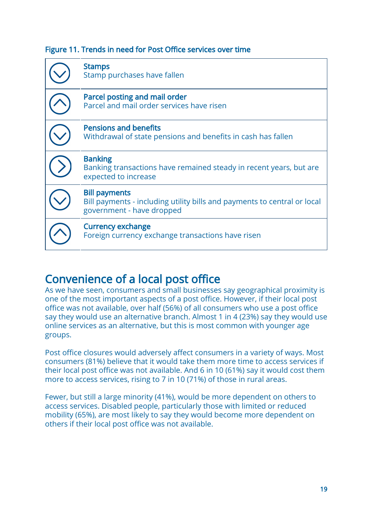#### Figure 11. Trends in need for Post Office services over time

| <b>Stamps</b><br>Stamp purchases have fallen                                                                                  |
|-------------------------------------------------------------------------------------------------------------------------------|
| Parcel posting and mail order<br>Parcel and mail order services have risen                                                    |
| <b>Pensions and benefits</b><br>Withdrawal of state pensions and benefits in cash has fallen                                  |
| <b>Banking</b><br>Banking transactions have remained steady in recent years, but are<br>expected to increase                  |
| <b>Bill payments</b><br>Bill payments - including utility bills and payments to central or local<br>government - have dropped |
| <b>Currency exchange</b><br>Foreign currency exchange transactions have risen                                                 |

# Convenience of a local post office

As we have seen, consumers and small businesses say geographical proximity is one of the most important aspects of a post office. However, if their local post office was not available, over half (56%) of all consumers who use a post office say they would use an alternative branch. Almost 1 in 4 (23%) say they would use online services as an alternative, but this is most common with younger age groups.

Post office closures would adversely affect consumers in a variety of ways. Most consumers (81%) believe that it would take them more time to access services if their local post office was not available. And 6 in 10 (61%) say it would cost them more to access services, rising to 7 in 10 (71%) of those in rural areas.

Fewer, but still a large minority (41%), would be more dependent on others to access services. Disabled people, particularly those with limited or reduced mobility (65%), are most likely to say they would become more dependent on others if their local post office was not available.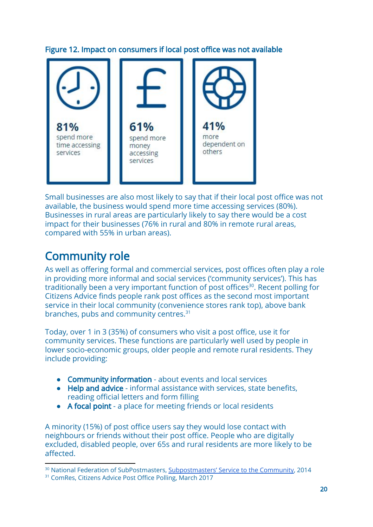#### Figure 12. Impact on consumers if local post office was not available



Small businesses are also most likely to say that if their local post office was not available, the business would spend more time accessing services (80%). Businesses in rural areas are particularly likely to say there would be a cost impact for their businesses (76% in rural and 80% in remote rural areas, compared with 55% in urban areas).

# Community role

As well as offering formal and commercial services, post offices often play a role in providing more informal and social services ('community services'). This has traditionally been a very important function of post offices<sup>30</sup>. Recent polling for Citizens Advice finds people rank post offices as the second most important service in their local community (convenience stores rank top), above bank branches, pubs and community centres.<sup>31</sup>

Today, over 1 in 3 (35%) of consumers who visit a post office, use it for community services. These functions are particularly well used by people in lower socio-economic groups, older people and remote rural residents. They include providing:

- Community information about events and local services
- Help and advice informal assistance with services, state benefits, reading official letters and form filling
- A focal point a place for meeting friends or local residents

A minority (15%) of post office users say they would lose contact with neighbours or friends without their post office. People who are digitally excluded, disabled people, over 65s and rural residents are more likely to be affected.

<sup>&</sup>lt;sup>30</sup> National Federation of SubPostmasters, [Subpostmasters'](http://www.nfsp.org.uk/write/MediaUploads/Research%20and%20Policy%20docs/Subpostmasters) Service to the Community, 2014

<sup>&</sup>lt;sup>31</sup> ComRes, Citizens Advice Post Office Polling, March 2017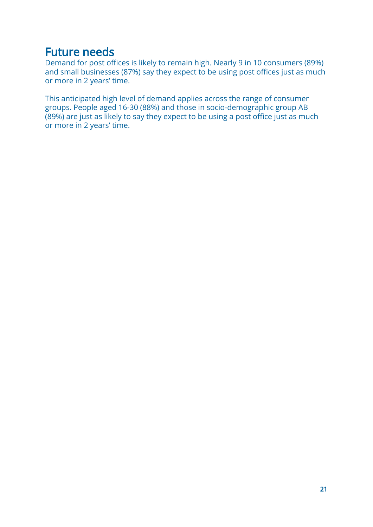### Future needs

Demand for post offices is likely to remain high. Nearly 9 in 10 consumers (89%) and small businesses (87%) say they expect to be using post offices just as much or more in 2 years' time.

This anticipated high level of demand applies across the range of consumer groups. People aged 16-30 (88%) and those in socio-demographic group AB (89%) are just as likely to say they expect to be using a post office just as much or more in 2 years' time.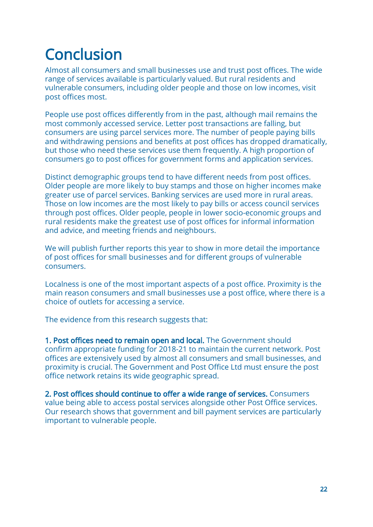# **Conclusion**

Almost all consumers and small businesses use and trust post offices. The wide range of services available is particularly valued. But rural residents and vulnerable consumers, including older people and those on low incomes, visit post offices most.

People use post offices differently from in the past, although mail remains the most commonly accessed service. Letter post transactions are falling, but consumers are using parcel services more. The number of people paying bills and withdrawing pensions and benefits at post offices has dropped dramatically, but those who need these services use them frequently. A high proportion of consumers go to post offices for government forms and application services.

Distinct demographic groups tend to have different needs from post offices. Older people are more likely to buy stamps and those on higher incomes make greater use of parcel services. Banking services are used more in rural areas. Those on low incomes are the most likely to pay bills or access council services through post offices. Older people, people in lower socio-economic groups and rural residents make the greatest use of post offices for informal information and advice, and meeting friends and neighbours.

We will publish further reports this year to show in more detail the importance of post offices for small businesses and for different groups of vulnerable consumers.

Localness is one of the most important aspects of a post office. Proximity is the main reason consumers and small businesses use a post office, where there is a choice of outlets for accessing a service.

The evidence from this research suggests that:

1. Post offices need to remain open and local. The Government should confirm appropriate funding for 2018-21 to maintain the current network. Post offices are extensively used by almost all consumers and small businesses, and proximity is crucial. The Government and Post Office Ltd must ensure the post office network retains its wide geographic spread.

2. Post offices should continue to offer a wide range of services. Consumers value being able to access postal services alongside other Post Office services. Our research shows that government and bill payment services are particularly important to vulnerable people.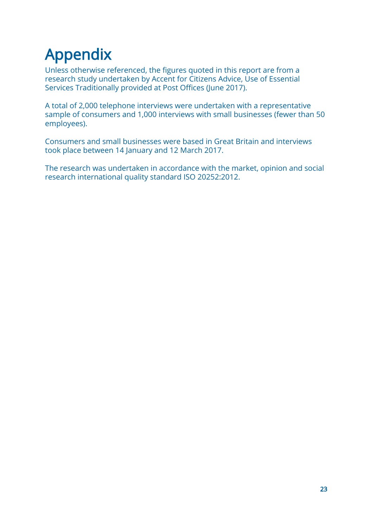# Appendix

Unless otherwise referenced, the figures quoted in this report are from a research study undertaken by Accent for Citizens Advice, Use of Essential Services Traditionally provided at Post Offices (June 2017).

A total of 2,000 telephone interviews were undertaken with a representative sample of consumers and 1,000 interviews with small businesses (fewer than 50 employees).

Consumers and small businesses were based in Great Britain and interviews took place between 14 January and 12 March 2017.

The research was undertaken in accordance with the market, opinion and social research international quality standard ISO 20252:2012.